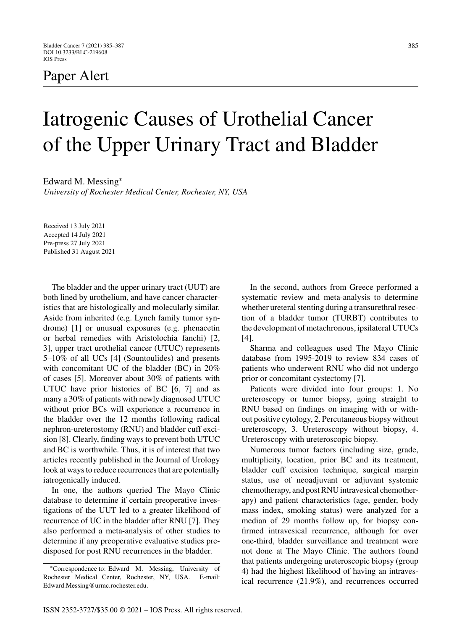## Paper Alert

## Iatrogenic Causes of Urothelial Cancer of the Upper Urinary Tract and Bladder

Edward M. Messing<sup>∗</sup>

*University of Rochester Medical Center, Rochester, NY, USA*

Received 13 July 2021 Accepted 14 July 2021 Pre-press 27 July 2021 Published 31 August 2021

The bladder and the upper urinary tract (UUT) are both lined by urothelium, and have cancer characteristics that are histologically and molecularly similar. Aside from inherited (e.g. Lynch family tumor syndrome) [1] or unusual exposures (e.g. phenacetin or herbal remedies with Aristolochia fanchi) [2, 3], upper tract urothelial cancer (UTUC) represents 5–10% of all UCs [4] (Sountoulides) and presents with concomitant UC of the bladder (BC) in 20% of cases [5]. Moreover about 30% of patients with UTUC have prior histories of BC [6, 7] and as many a 30% of patients with newly diagnosed UTUC without prior BCs will experience a recurrence in the bladder over the 12 months following radical nephron-ureterostomy (RNU) and bladder cuff excision [8]. Clearly, finding ways to prevent both UTUC and BC is worthwhile. Thus, it is of interest that two articles recently published in the Journal of Urology look at ways to reduce recurrences that are potentially iatrogenically induced.

In one, the authors queried The Mayo Clinic database to determine if certain preoperative investigations of the UUT led to a greater likelihood of recurrence of UC in the bladder after RNU [7]. They also performed a meta-analysis of other studies to determine if any preoperative evaluative studies predisposed for post RNU recurrences in the bladder.

In the second, authors from Greece performed a systematic review and meta-analysis to determine whether ureteral stenting during a transurethral resection of a bladder tumor (TURBT) contributes to the development of metachronous, ipsilateral UTUCs [4].

Sharma and colleagues used The Mayo Clinic database from 1995-2019 to review 834 cases of patients who underwent RNU who did not undergo prior or concomitant cystectomy [7].

Patients were divided into four groups: 1. No ureteroscopy or tumor biopsy, going straight to RNU based on findings on imaging with or without positive cytology, 2. Percutaneous biopsy without ureteroscopy, 3. Ureteroscopy without biopsy, 4. Ureteroscopy with ureteroscopic biopsy.

Numerous tumor factors (including size, grade, multiplicity, location, prior BC and its treatment, bladder cuff excision technique, surgical margin status, use of neoadjuvant or adjuvant systemic chemotherapy, and post RNU intravesical chemotherapy) and patient characteristics (age, gender, body mass index, smoking status) were analyzed for a median of 29 months follow up, for biopsy confirmed intravesical recurrence, although for over one-third, bladder surveillance and treatment were not done at The Mayo Clinic. The authors found that patients undergoing ureteroscopic biopsy (group 4) had the highest likelihood of having an intravesical recurrence (21.9%), and recurrences occurred

<sup>∗</sup>Correspondence to: Edward M. Messing, University of Rochester Medical Center, Rochester, NY, USA. E-mail: [Edward.Messing@urmc.rochester.edu.](mailto:Edward.Messing@urmc.rochester.edu)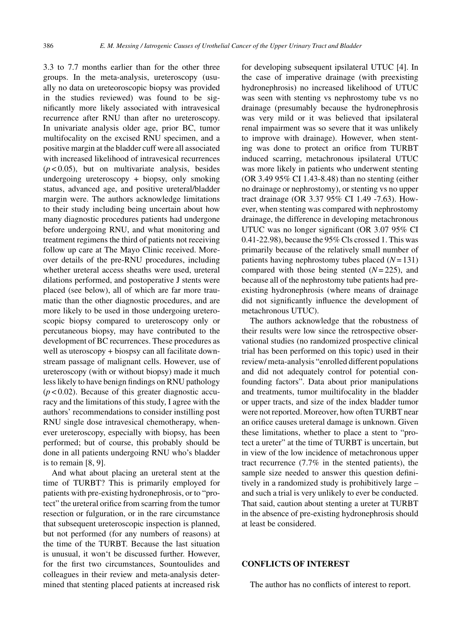3.3 to 7.7 months earlier than for the other three groups. In the meta-analysis, ureteroscopy (usually no data on ureteoroscopic biopsy was provided in the studies reviewed) was found to be significantly more likely associated with intravesical recurrence after RNU than after no ureteroscopy. In univariate analysis older age, prior BC, tumor multifocality on the excised RNU specimen, and a positive margin at the bladder cuff were all associated with increased likelihood of intravesical recurrences (*p* < 0.05), but on multivariate analysis, besides undergoing ureteroscopy + biopsy, only smoking status, advanced age, and positive ureteral/bladder margin were. The authors acknowledge limitations to their study including being uncertain about how many diagnostic procedures patients had undergone before undergoing RNU, and what monitoring and treatment regimens the third of patients not receiving follow up care at The Mayo Clinic received. Moreover details of the pre-RNU procedures, including whether ureteral access sheaths were used, ureteral dilations performed, and postoperative J stents were placed (see below), all of which are far more traumatic than the other diagnostic procedures, and are more likely to be used in those undergoing ureteroscopic biopsy compared to ureteroscopy only or percutaneous biopsy, may have contributed to the development of BC recurrences. These procedures as well as uteroscopy + biospsy can all facilitate downstream passage of malignant cells. However, use of ureteroscopy (with or without biopsy) made it much less likely to have benign findings on RNU pathology  $(p<0.02)$ . Because of this greater diagnostic accuracy and the limitations of this study, I agree with the authors' recommendations to consider instilling post RNU single dose intravesical chemotherapy, whenever ureteroscopy, especially with biopsy, has been performed; but of course, this probably should be done in all patients undergoing RNU who's bladder is to remain [8, 9].

And what about placing an ureteral stent at the time of TURBT? This is primarily employed for patients with pre-existing hydronephrosis, or to "protect" the ureteral orifice from scarring from the tumor resection or fulguration, or in the rare circumstance that subsequent ureteroscopic inspection is planned, but not performed (for any numbers of reasons) at the time of the TURBT. Because the last situation is unusual, it won't be discussed further. However, for the first two circumstances, Sountoulides and colleagues in their review and meta-analysis determined that stenting placed patients at increased risk

for developing subsequent ipsilateral UTUC [4]. In the case of imperative drainage (with preexisting hydronephrosis) no increased likelihood of UTUC was seen with stenting vs nephrostomy tube vs no drainage (presumably because the hydronephrosis was very mild or it was believed that ipsilateral renal impairment was so severe that it was unlikely to improve with drainage). However, when stenting was done to protect an orifice from TURBT induced scarring, metachronous ipsilateral UTUC was more likely in patients who underwent stenting (OR 3.49 95% CI 1.43-8.48) than no stenting (either no drainage or nephrostomy), or stenting vs no upper tract drainage (OR 3.37 95% CI 1.49 -7.63). However, when stenting was compared with nephrostomy drainage, the difference in developing metachronous UTUC was no longer significant (OR 3.07 95% CI 0.41-22.98), because the 95% Cls crossed 1. This was primarily because of the relatively small number of patients having nephrostomy tubes placed (*N*= 131) compared with those being stented (*N*= 225), and because all of the nephrostomy tube patients had preexisting hydronephrosis (where means of drainage did not significantly influence the development of metachronous UTUC).

The authors acknowledge that the robustness of their results were low since the retrospective observational studies (no randomized prospective clinical trial has been performed on this topic) used in their review/ meta-analysis "enrolled different populations and did not adequately control for potential confounding factors". Data about prior manipulations and treatments, tumor muiltifocality in the bladder or upper tracts, and size of the index bladder tumor were not reported. Moreover, how often TURBT near an orifice causes ureteral damage is unknown. Given these limitations, whether to place a stent to "protect a ureter" at the time of TURBT is uncertain, but in view of the low incidence of metachronous upper tract recurrence (7.7% in the stented patients), the sample size needed to answer this question definitively in a randomized study is prohibitively large – and such a trial is very unlikely to ever be conducted. That said, caution about stenting a ureter at TURBT in the absence of pre-existing hydronephrosis should at least be considered.

## **CONFLICTS OF INTEREST**

The author has no conflicts of interest to report.